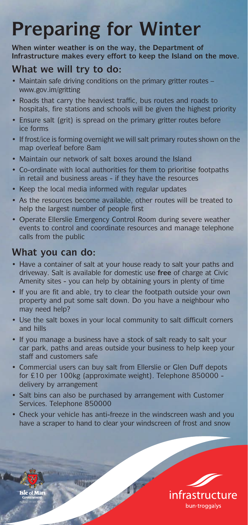## **Preparing for Winter**

**When winter weather is on the way, the Department of Infrastructure makes every effort to keep the Island on the move.**

## **What we will try to do:**

- Maintain safe driving conditions on the primary gritter routes www.gov.im/gritting
- Roads that carry the heaviest traffic, bus routes and roads to hospitals, fire stations and schools will be given the highest priority
- Ensure salt (grit) is spread on the primary gritter routes before ice forms
- If frost/ice is forming overnight we will salt primary routes shown on the map overleaf before 8am
- Maintain our network of salt boxes around the Island
- Co-ordinate with local authorities for them to prioritise footpaths in retail and business areas - if they have the resources
- Keep the local media informed with regular updates
- As the resources become available, other routes will be treated to help the largest number of people first
- Operate Ellerslie Emergency Control Room during severe weather events to control and coordinate resources and manage telephone calls from the public

## **What you can do:**

- Have a container of salt at your house ready to salt your paths and driveway. Salt is available for domestic use **free** of charge at Civic Amenity sites - you can help by obtaining yours in plenty of time
- If you are fit and able, try to clear the footpath outside your own property and put some salt down. Do you have a neighbour who may need help?
- Use the salt boxes in your local community to salt difficult corners and hills
- If you manage a business have a stock of salt ready to salt your car park, paths and areas outside your business to help keep your staff and customers safe
- Commercial users can buy salt from Ellerslie or Glen Duff depots for £10 per 100kg (approximate weight). Telephone 850000 delivery by arrangement
- Salt bins can also be purchased by arrangement with Customer Services. Telephone 850000

Be says of the

• Check your vehicle has anti-freeze in the windscreen wash and you have a scraper to hand to clear your windscreen of frost and snow